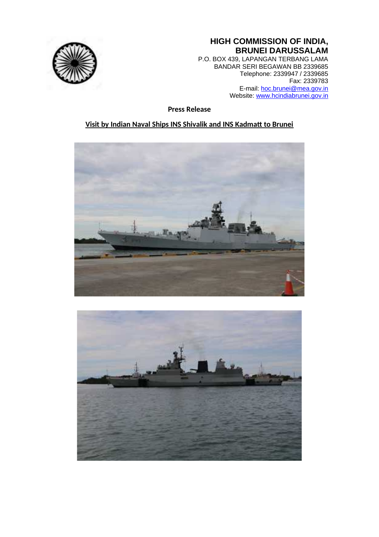

## **HIGH COMMISSION OF INDIA, BRUNEI DARUSSALAM**

P.O. BOX 439, LAPANGAN TERBANG LAMA BANDAR SERI BEGAWAN BB 2339685 Telephone: 2339947 / 2339685 Fax: 2339783 E-mail: hoc.brunei@mea.gov.in Website: www.hcindiabrunei.gov.in

**Press Release**

## **Visit by Indian Naval Ships INS Shivalik and INS Kadmatt to Brunei**



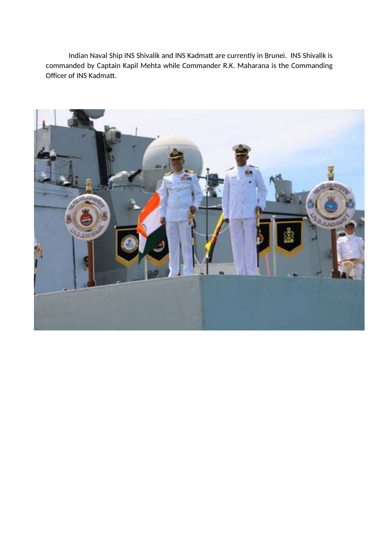Indian Naval Ship INS Shivalik and INS Kadmatt are currently in Brunei. INS Shivalik is commanded by Captain Kapil Mehta while Commander R.K. Maharana is the Commanding Officer of INS Kadmatt.

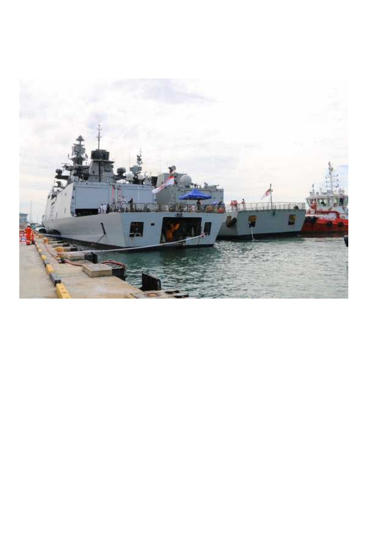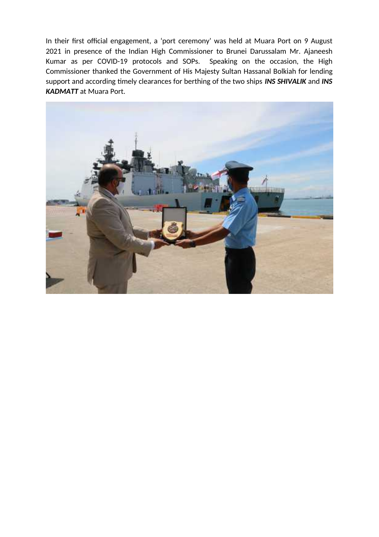In their first official engagement, a 'port ceremony' was held at Muara Port on 9 August 2021 in presence of the Indian High Commissioner to Brunei Darussalam Mr. Ajaneesh Kumar as per COVID-19 protocols and SOPs. Speaking on the occasion, the High Commissioner thanked the Government of His Majesty Sultan Hassanal Bolkiah for lending support and according timely clearances for berthing of the two ships *INS SHIVALIK* and *INS KADMATT* at Muara Port.

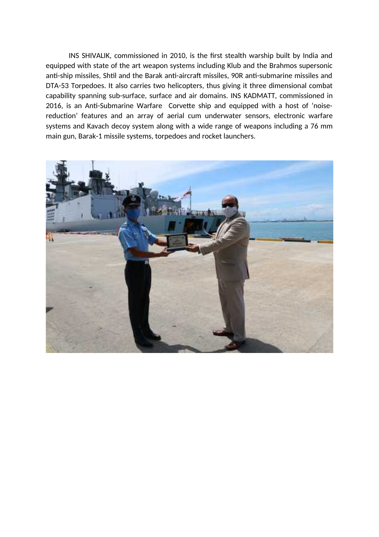INS SHIVALIK, commissioned in 2010, is the first stealth warship built by India and equipped with state of the art weapon systems including Klub and the Brahmos supersonic anti-ship missiles, Shtil and the Barak anti-aircraft missiles, 90R anti-submarine missiles and DTA-53 Torpedoes. It also carries two helicopters, thus giving it three dimensional combat capability spanning sub-surface, surface and air domains. INS KADMATT, commissioned in 2016, is an Anti-Submarine Warfare Corvette ship and equipped with a host of 'noisereduction' features and an array of aerial cum underwater sensors, electronic warfare systems and Kavach decoy system along with a wide range of weapons including a 76 mm main gun, Barak-1 missile systems, torpedoes and rocket launchers.